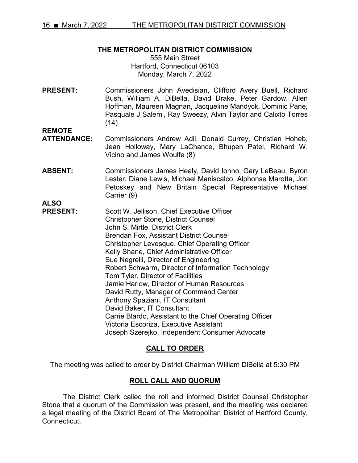# **THE METROPOLITAN DISTRICT COMMISSION**

555 Main Street Hartford, Connecticut 06103 Monday, March 7, 2022

**PRESENT:** Commissioners John Avedisian, Clifford Avery Buell, Richard Bush, William A. DiBella, David Drake, Peter Gardow, Allen Hoffman, Maureen Magnan, Jacqueline Mandyck, Dominic Pane, Pasquale J Salemi, Ray Sweezy, Alvin Taylor and Calixto Torres  $(14)$ 

**REMOTE** 

- **ATTENDANCE:** Commissioners Andrew Adil, Donald Currey, Christian Hoheb, Jean Holloway, Mary LaChance, Bhupen Patel, Richard W. Vicino and James Woulfe (8)
- **ABSENT:** Commissioners James Healy, David Ionno, Gary LeBeau, Byron Lester, Diane Lewis, Michael Maniscalco, Alphonse Marotta, Jon Petoskey and New Britain Special Representative Michael Carrier (9)

**ALSO**

**PRESENT:** Scott W. Jellison, Chief Executive Officer Christopher Stone, District Counsel John S. Mirtle, District Clerk Brendan Fox, Assistant District Counsel Christopher Levesque, Chief Operating Officer Kelly Shane, Chief Administrative Officer Sue Negrelli, Director of Engineering Robert Schwarm, Director of Information Technology Tom Tyler, Director of Facilities Jamie Harlow, Director of Human Resources David Rutty, Manager of Command Center Anthony Spaziani, IT Consultant David Baker, IT Consultant Carrie Blardo, Assistant to the Chief Operating Officer Victoria Escoriza, Executive Assistant Joseph Szerejko, Independent Consumer Advocate

# **CALL TO ORDER**

The meeting was called to order by District Chairman William DiBella at 5:30 PM

# **ROLL CALL AND QUORUM**

The District Clerk called the roll and informed District Counsel Christopher Stone that a quorum of the Commission was present, and the meeting was declared a legal meeting of the District Board of The Metropolitan District of Hartford County, Connecticut.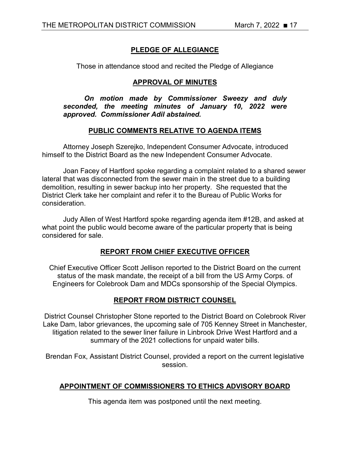# **PLEDGE OF ALLEGIANCE**

Those in attendance stood and recited the Pledge of Allegiance

# **APPROVAL OF MINUTES**

*On motion made by Commissioner Sweezy and duly seconded, the meeting minutes of January 10, 2022 were approved. Commissioner Adil abstained.* 

# **PUBLIC COMMENTS RELATIVE TO AGENDA ITEMS**

Attorney Joseph Szerejko, Independent Consumer Advocate, introduced himself to the District Board as the new Independent Consumer Advocate.

Joan Facey of Hartford spoke regarding a complaint related to a shared sewer lateral that was disconnected from the sewer main in the street due to a building demolition, resulting in sewer backup into her property. She requested that the District Clerk take her complaint and refer it to the Bureau of Public Works for consideration.

Judy Allen of West Hartford spoke regarding agenda item #12B, and asked at what point the public would become aware of the particular property that is being considered for sale.

# **REPORT FROM CHIEF EXECUTIVE OFFICER**

Chief Executive Officer Scott Jellison reported to the District Board on the current status of the mask mandate, the receipt of a bill from the US Army Corps. of Engineers for Colebrook Dam and MDCs sponsorship of the Special Olympics.

# **REPORT FROM DISTRICT COUNSEL**

District Counsel Christopher Stone reported to the District Board on Colebrook River Lake Dam, labor grievances, the upcoming sale of 705 Kenney Street in Manchester, litigation related to the sewer liner failure in Linbrook Drive West Hartford and a summary of the 2021 collections for unpaid water bills.

Brendan Fox, Assistant District Counsel, provided a report on the current legislative session.

# **APPOINTMENT OF COMMISSIONERS TO ETHICS ADVISORY BOARD**

This agenda item was postponed until the next meeting.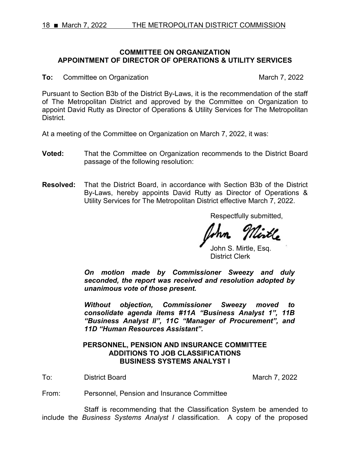# **COMMITTEE ON ORGANIZATION APPOINTMENT OF DIRECTOR OF OPERATIONS & UTILITY SERVICES**

**To:** Committee on Organization March 7, 2022

Pursuant to Section B3b of the District By-Laws, it is the recommendation of the staff of The Metropolitan District and approved by the Committee on Organization to appoint David Rutty as Director of Operations & Utility Services for The Metropolitan District.

At a meeting of the Committee on Organization on March 7, 2022, it was:

- **Voted:** That the Committee on Organization recommends to the District Board passage of the following resolution:
- **Resolved:** That the District Board, in accordance with Section B3b of the District By-Laws, hereby appoints David Rutty as Director of Operations & Utility Services for The Metropolitan District effective March 7, 2022.

Respectfully submitted,

John S. Mirtle, Esq. District Clerk

*On motion made by Commissioner Sweezy and duly seconded, the report was received and resolution adopted by unanimous vote of those present.*

*Without objection, Commissioner Sweezy moved to consolidate agenda items #11A "Business Analyst 1", 11B "Business Analyst II", 11C "Manager of Procurement", and 11D "Human Resources Assistant".* 

# **PERSONNEL, PENSION AND INSURANCE COMMITTEE ADDITIONS TO JOB CLASSIFICATIONS BUSINESS SYSTEMS ANALYST I**

To: District Board March 7, 2022

From: Personnel, Pension and Insurance Committee

Staff is recommending that the Classification System be amended to include the *Business Systems Analyst I* classification. A copy of the proposed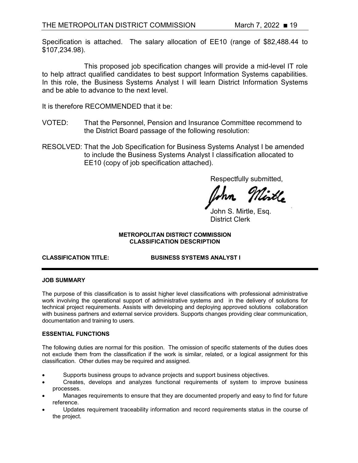Specification is attached. The salary allocation of EE10 (range of \$82,488.44 to \$107,234.98).

This proposed job specification changes will provide a mid-level IT role to help attract qualified candidates to best support Information Systems capabilities. In this role, the Business Systems Analyst I will learn District Information Systems and be able to advance to the next level.

It is therefore RECOMMENDED that it be:

- VOTED: That the Personnel, Pension and Insurance Committee recommend to the District Board passage of the following resolution:
- RESOLVED: That the Job Specification for Business Systems Analyst I be amended to include the Business Systems Analyst I classification allocated to EE10 (copy of job specification attached).

Respectfully submitted,

lirtl**e** 

John S. Mirtle, Esq. District Clerk

### **METROPOLITAN DISTRICT COMMISSION CLASSIFICATION DESCRIPTION**

**CLASSIFICATION TITLE: BUSINESS SYSTEMS ANALYST I**

### **JOB SUMMARY**

The purpose of this classification is to assist higher level classifications with professional administrative work involving the operational support of administrative systems and in the delivery of solutions for technical project requirements. Assists with developing and deploying approved solutions collaboration with business partners and external service providers. Supports changes providing clear communication, documentation and training to users.

### **ESSENTIAL FUNCTIONS**

The following duties are normal for this position. The omission of specific statements of the duties does not exclude them from the classification if the work is similar, related, or a logical assignment for this classification. Other duties may be required and assigned.

- Supports business groups to advance projects and support business objectives.
- Creates, develops and analyzes functional requirements of system to improve business processes.
- Manages requirements to ensure that they are documented properly and easy to find for future reference.
- Updates requirement traceability information and record requirements status in the course of the project.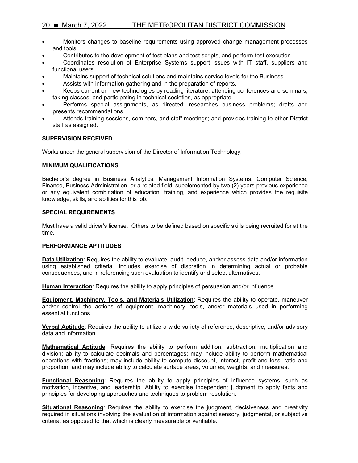# 20 ■ March 7, 2022 THE METROPOLITAN DISTRICT COMMISSION

- Monitors changes to baseline requirements using approved change management processes and tools.
- Contributes to the development of test plans and test scripts, and perform test execution.
- Coordinates resolution of Enterprise Systems support issues with IT staff, suppliers and functional users
- Maintains support of technical solutions and maintains service levels for the Business.
- Assists with information gathering and in the preparation of reports.
- Keeps current on new technologies by reading literature, attending conferences and seminars, taking classes, and participating in technical societies, as appropriate.
- Performs special assignments, as directed; researches business problems; drafts and presents recommendations.
- Attends training sessions, seminars, and staff meetings; and provides training to other District staff as assigned.

#### **SUPERVISION RECEIVED**

Works under the general supervision of the Director of Information Technology.

#### **MINIMUM QUALIFICATIONS**

Bachelor's degree in Business Analytics, Management Information Systems, Computer Science, Finance, Business Administration, or a related field, supplemented by two (2) years previous experience or any equivalent combination of education, training, and experience which provides the requisite knowledge, skills, and abilities for this job.

#### **SPECIAL REQUIREMENTS**

Must have a valid driver's license. Others to be defined based on specific skills being recruited for at the time.

#### **PERFORMANCE APTITUDES**

**Data Utilization**: Requires the ability to evaluate, audit, deduce, and/or assess data and/or information using established criteria. Includes exercise of discretion in determining actual or probable consequences, and in referencing such evaluation to identify and select alternatives.

**Human Interaction**: Requires the ability to apply principles of persuasion and/or influence.

**Equipment, Machinery, Tools, and Materials Utilization**: Requires the ability to operate, maneuver and/or control the actions of equipment, machinery, tools, and/or materials used in performing essential functions.

**Verbal Aptitude**: Requires the ability to utilize a wide variety of reference, descriptive, and/or advisory data and information.

**Mathematical Aptitude**: Requires the ability to perform addition, subtraction, multiplication and division; ability to calculate decimals and percentages; may include ability to perform mathematical operations with fractions; may include ability to compute discount, interest, profit and loss, ratio and proportion; and may include ability to calculate surface areas, volumes, weights, and measures.

**Functional Reasoning**: Requires the ability to apply principles of influence systems, such as motivation, incentive, and leadership. Ability to exercise independent judgment to apply facts and principles for developing approaches and techniques to problem resolution.

**Situational Reasoning**: Requires the ability to exercise the judgment, decisiveness and creativity required in situations involving the evaluation of information against sensory, judgmental, or subjective criteria, as opposed to that which is clearly measurable or verifiable.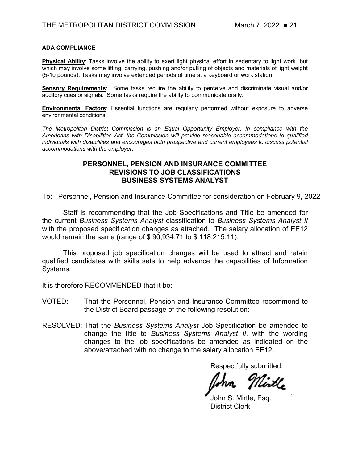### **ADA COMPLIANCE**

**Physical Ability**: Tasks involve the ability to exert light physical effort in sedentary to light work, but which may involve some lifting, carrying, pushing and/or pulling of objects and materials of light weight (5-10 pounds). Tasks may involve extended periods of time at a keyboard or work station.

**Sensory Requirements**: Some tasks require the ability to perceive and discriminate visual and/or auditory cues or signals. Some tasks require the ability to communicate orally.

**Environmental Factors**: Essential functions are regularly performed without exposure to adverse environmental conditions.

*The Metropolitan District Commission is an Equal Opportunity Employer. In compliance with the Americans with Disabilities Act, the Commission will provide reasonable accommodations to qualified individuals with disabilities and encourages both prospective and current employees to discuss potential accommodations with the employer.*

## **PERSONNEL, PENSION AND INSURANCE COMMITTEE REVISIONS TO JOB CLASSIFICATIONS BUSINESS SYSTEMS ANALYST**

To: Personnel, Pension and Insurance Committee for consideration on February 9, 2022

Staff is recommending that the Job Specifications and Title be amended for the current *Business Systems Analyst* classification to *Business Systems Analyst II*  with the proposed specification changes as attached. The salary allocation of EE12 would remain the same (range of \$ 90,934.71 to \$ 118,215.11).

This proposed job specification changes will be used to attract and retain qualified candidates with skills sets to help advance the capabilities of Information Systems.

It is therefore RECOMMENDED that it be:

- VOTED: That the Personnel, Pension and Insurance Committee recommend to the District Board passage of the following resolution:
- RESOLVED: That the *Business Systems Analyst* Job Specification be amended to change the title to *Business Systems Analyst II*, with the wording changes to the job specifications be amended as indicated on the above/attached with no change to the salary allocation EE12.

Mirtle

John S. Mirtle, Esa. District Clerk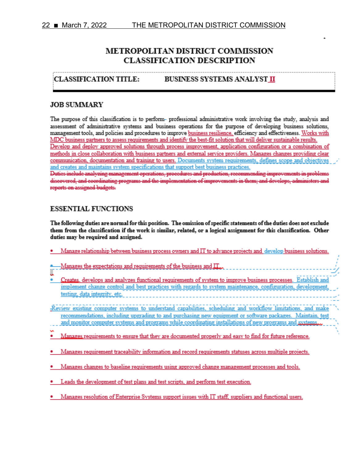# **METROPOLITAN DISTRICT COMMISSION CLASSIFICATION DESCRIPTION**

#### **CLASSIFICATION TITLE:** BUSINESS SYSTEMS ANALYST II

### **JOB SUMMARY**

The purpose of this classification is to perform- professional administrative work involving the study, analysis and assessment of administrative systems and business operations for the purpose of developing business solutions. management tools, and policies and procedures to improve business resilience, efficiency and effectiveness. Works with MDC business partners to assess requirements and identify the best-fit solution that will deliver sustainable results. Develop and deploy approved solutions through process improvement, application configuration or a combination of methods in close collaboration with business partners and external service providers. Manages changes providing clear communication, documentation and training to users. Documents system requirements, defines scope and objectives and creates and maintains system specifications that support best business practices. Duties include analyzing management operations, procedures and production, recommending improvements in problems

discovered, and coordinating programs and the implementation of improvements in them; and develops, administers and reports on assigned budgets.

## **ESSENTIAL FUNCTIONS**

The following duties are normal for this position. The omission of specific statements of the duties does not exclude them from the classification if the work is similar, related, or a logical assignment for this classification. Other duties may be required and assigned.

- Manage relationship between business process owners and IT to advance projects and develop business solutions.
- -Manages the expectations and requirements of the business and  $\prod_{\alpha\alpha}$ I
- Creates, develops and analyzes functional requirements of system to improve business processes. Establish and implement change control and best practices with regards to system maintenance, configuration, development testing, data integrity, etc.
	- -Review existing computer systems to understand capabilities, scheduling and workflow limitations, and make recommendations, including upgrading to and purchasing new equipment or software packages. Maintain, test and monitor computer systems and programs while coordinating installations of new programs and systems.
	-
	- Manages requirements to ensure that they are documented properly and easy to find for future reference.
	- Manages requirement traceability information and record requirements statuses across multiple projects.
	- Manages changes to baseline requirements using approved change management processes and tools.
	- · Leads the development of test plans and test scripts, and perform test execution.
	- Manages resolution of Enterorise Systems support issues with IT staff, suppliers and functional users.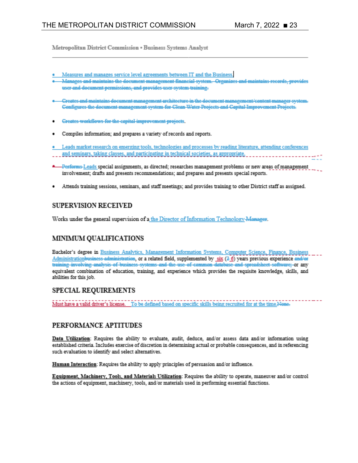Metropolitan District Commission . Business Systems Analyst

- Measures and manages service level agreements between IT and the Business.
- Manages and maintains the document management financial system. Organizes and maintains records, provides user and document permissions, and provides user system training.
- \* Creates and maintains document management architecture in the document management/content manager system. Configures the document management system for Clean Water Projects and Capital Improvement Projects.
- Greates workflows for the capital improvement projects.
- Compiles information; and prepares a variety of records and reports.
- . Leads market research on emerging tools, technologies and processes by reading literature, attending conferences
- 
- -Performs-Leads special assignments, as directed; researches management problems or new areas of management involvement; drafts and presents recommendations; and prepares and presents special reports.
- Attends training sessions, seminars, and staff meetings; and provides training to other District staff as assigned.

# **SUPERVISION RECEIVED**

Works under the general supervision of a the Director of Information Technology-Manager.

# MINIMUM QUALIFICATIONS

Bachelor's degree in Business Analytics, Management Information Systems, Computer Science, Finance, Business Administrationbusiness-administration, or a related field, supplemented by six (2-6) years previous experience and/or training involving analysis of business systems and the use of common database and spreadsheet software; or any equivalent combination of education, training, and experience which provides the requisite knowledge, skills, and abilities for this job.

## **SPECIAL REQUIREMENTS**

Must have a valid driver's license. To be defined based on specific skills being recruited for at the time.Nene-

## PERFORMANCE APTITUDES

Data Utilization: Requires the ability to evaluate, audit, deduce, and/or assess data and/or information using established criteria. Includes exercise of discretion in determining actual or probable consequences, and in referencing such evaluation to identify and select alternatives.

Human Interaction: Requires the ability to apply principles of persuasion and/or influence.

Equipment, Machinery, Tools, and Materials Utilization: Requires the ability to operate, maneuver and/or control the actions of equipment, machinery, tools, and/or materials used in performing essential functions.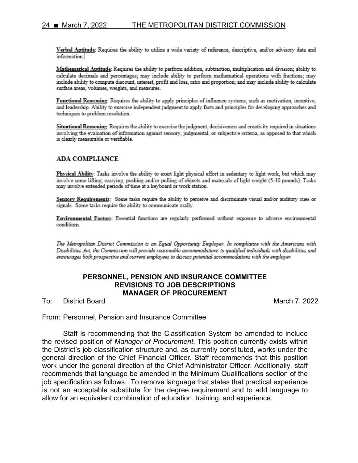Verbal Aptitude: Requires the ability to utilize a wide variety of reference, descriptive, and/or advisory data and information.

Mathematical Aptitude: Requires the ability to perform addition, subtraction, multiplication and division; ability to calculate decimals and percentages; may include ability to perform mathematical operations with fractions; may include ability to compute discount, interest, profit and loss, ratio and proportion; and may include ability to calculate surface areas, volumes, weights, and measures.

Functional Reasoning: Requires the ability to apply principles of influence systems, such as motivation, incentive, and leadership. Ability to exercise independent judgment to apply facts and principles for developing approaches and techniques to problem resolution.

Situational Reasoning: Requires the ability to exercise the judgment, decisiveness and creativity required in situations involving the evaluation of information against sensory, judgmental, or subjective criteria, as opposed to that which is clearly measurable or verifiable.

### **ADA COMPLIANCE**

Physical Ability: Tasks involve the ability to exert light physical effort in sedentary to light work, but which may involve some lifting, carrying, pushing and/or pulling of objects and materials of light weight (5-10 pounds). Tasks may involve extended periods of time at a keyboard or work station.

Sensory Requirements: Some tasks require the ability to perceive and discriminate visual and/or auditory cues or signals. Some tasks require the ability to communicate orally.

Environmental Factors: Essential functions are regularly performed without exposure to adverse environmental conditions.

The Metropolitan District Commission is an Equal Opportunity Employer. In compliance with the Americans with Disabilities Act, the Commission will provide reasonable accommodations to qualified individuals with disabilities and encourages both prospective and current employees to discuss potential accommodations with the employer.

### **PERSONNEL, PENSION AND INSURANCE COMMITTEE REVISIONS TO JOB DESCRIPTIONS MANAGER OF PROCUREMENT**

To: District Board March 7, 2022

From: Personnel, Pension and Insurance Committee

Staff is recommending that the Classification System be amended to include the revised position of *Manager of Procurement*. This position currently exists within the District's job classification structure and, as currently constituted, works under the general direction of the Chief Financial Officer. Staff recommends that this position work under the general direction of the Chief Administrator Officer. Additionally, staff recommends that language be amended in the Minimum Qualifications section of the job specification as follows. To remove language that states that practical experience is not an acceptable substitute for the degree requirement and to add language to allow for an equivalent combination of education, training, and experience.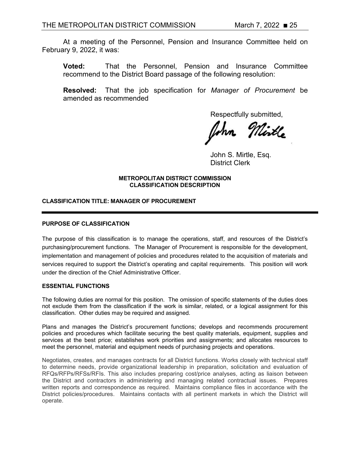At a meeting of the Personnel, Pension and Insurance Committee held on February 9, 2022, it was:

**Voted:** That the Personnel, Pension and Insurance Committee recommend to the District Board passage of the following resolution:

**Resolved:** That the job specification for *Manager of Procurement* be amended as recommended

Respectfully submitted,

John S. Mirtle, Esq. District Clerk

#### **METROPOLITAN DISTRICT COMMISSION CLASSIFICATION DESCRIPTION**

### **CLASSIFICATION TITLE: MANAGER OF PROCUREMENT**

#### **PURPOSE OF CLASSIFICATION**

The purpose of this classification is to manage the operations, staff, and resources of the District's purchasing/procurement functions. The Manager of Procurement is responsible for the development, implementation and management of policies and procedures related to the acquisition of materials and services required to support the District's operating and capital requirements. This position will work under the direction of the Chief Administrative Officer.

#### **ESSENTIAL FUNCTIONS**

The following duties are normal for this position. The omission of specific statements of the duties does not exclude them from the classification if the work is similar, related, or a logical assignment for this classification. Other duties may be required and assigned.

Plans and manages the District's procurement functions; develops and recommends procurement policies and procedures which facilitate securing the best quality materials, equipment, supplies and services at the best price; establishes work priorities and assignments; and allocates resources to meet the personnel, material and equipment needs of purchasing projects and operations.

Negotiates, creates, and manages contracts for all District functions. Works closely with technical staff to determine needs, provide organizational leadership in preparation, solicitation and evaluation of RFQs/RFPs/RFSs/RFIs. This also includes preparing cost/price analyses, acting as liaison between the District and contractors in administering and managing related contractual issues. Prepares written reports and correspondence as required. Maintains compliance files in accordance with the District policies/procedures. Maintains contacts with all pertinent markets in which the District will operate.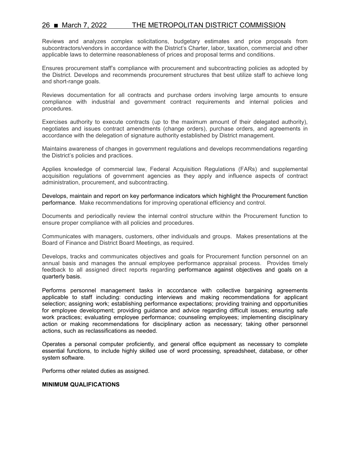## 26 ■ March 7, 2022 THE METROPOLITAN DISTRICT COMMISSION

Reviews and analyzes complex solicitations, budgetary estimates and price proposals from subcontractors/vendors in accordance with the District's Charter, labor, taxation, commercial and other applicable laws to determine reasonableness of prices and proposal terms and conditions.

Ensures procurement staff's compliance with procurement and subcontracting policies as adopted by the District. Develops and recommends procurement structures that best utilize staff to achieve long and short-range goals.

Reviews documentation for all contracts and purchase orders involving large amounts to ensure compliance with industrial and government contract requirements and internal policies and procedures.

Exercises authority to execute contracts (up to the maximum amount of their delegated authority), negotiates and issues contract amendments (change orders), purchase orders, and agreements in accordance with the delegation of signature authority established by District management.

Maintains awareness of changes in government regulations and develops recommendations regarding the District's policies and practices.

Applies knowledge of commercial law, Federal Acquisition Regulations (FARs) and supplemental acquisition regulations of government agencies as they apply and influence aspects of contract administration, procurement, and subcontracting.

Develops, maintain and report on key performance indicators which highlight the Procurement function performance. Make recommendations for improving operational efficiency and control.

Documents and periodically review the internal control structure within the Procurement function to ensure proper compliance with all policies and procedures.

Communicates with managers, customers, other individuals and groups. Makes presentations at the Board of Finance and District Board Meetings, as required.

Develops, tracks and communicates objectives and goals for Procurement function personnel on an annual basis and manages the annual employee performance appraisal process. Provides timely feedback to all assigned direct reports regarding performance against objectives and goals on a quarterly basis.

Performs personnel management tasks in accordance with collective bargaining agreements applicable to staff including: conducting interviews and making recommendations for applicant selection; assigning work; establishing performance expectations; providing training and opportunities for employee development; providing guidance and advice regarding difficult issues; ensuring safe work practices; evaluating employee performance; counseling employees; implementing disciplinary action or making recommendations for disciplinary action as necessary; taking other personnel actions, such as reclassifications as needed.

Operates a personal computer proficiently, and general office equipment as necessary to complete essential functions, to include highly skilled use of word processing, spreadsheet, database, or other system software.

Performs other related duties as assigned.

#### **MINIMUM QUALIFICATIONS**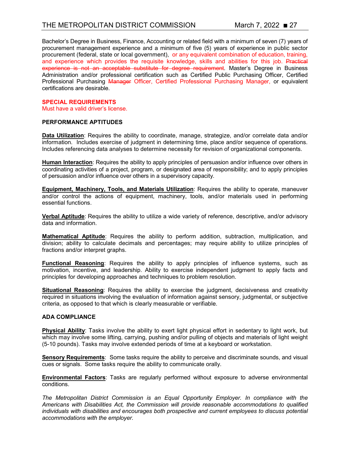Bachelor's Degree in Business, Finance, Accounting or related field with a minimum of seven (7) years of procurement management experience and a minimum of five (5) years of experience in public sector procurement (federal, state or local government), or any equivalent combination of education, training, and experience which provides the requisite knowledge, skills and abilities for this job. Practical experience is not an acceptable substitute for degree requirement. Master's Degree in Business Administration and/or professional certification such as Certified Public Purchasing Officer, Certified Professional Purchasing Manager Officer, Certified Professional Purchasing Manager, or equivalent certifications are desirable.

### **SPECIAL REQUIREMENTS**

Must have a valid driver's license.

#### **PERFORMANCE APTITUDES**

**Data Utilization**: Requires the ability to coordinate, manage, strategize, and/or correlate data and/or information. Includes exercise of judgment in determining time, place and/or sequence of operations. Includes referencing data analyses to determine necessity for revision of organizational components.

**Human Interaction**: Requires the ability to apply principles of persuasion and/or influence over others in coordinating activities of a project, program, or designated area of responsibility; and to apply principles of persuasion and/or influence over others in a supervisory capacity.

**Equipment, Machinery, Tools, and Materials Utilization**: Requires the ability to operate, maneuver and/or control the actions of equipment, machinery, tools, and/or materials used in performing essential functions.

**Verbal Aptitude**: Requires the ability to utilize a wide variety of reference, descriptive, and/or advisory data and information.

**Mathematical Aptitude**: Requires the ability to perform addition, subtraction, multiplication, and division; ability to calculate decimals and percentages; may require ability to utilize principles of fractions and/or interpret graphs.

**Functional Reasoning**: Requires the ability to apply principles of influence systems, such as motivation, incentive, and leadership. Ability to exercise independent judgment to apply facts and principles for developing approaches and techniques to problem resolution.

**Situational Reasoning**: Requires the ability to exercise the judgment, decisiveness and creativity required in situations involving the evaluation of information against sensory, judgmental, or subjective criteria, as opposed to that which is clearly measurable or verifiable.

#### **ADA COMPLIANCE**

**Physical Ability**: Tasks involve the ability to exert light physical effort in sedentary to light work, but which may involve some lifting, carrying, pushing and/or pulling of objects and materials of light weight (5-10 pounds). Tasks may involve extended periods of time at a keyboard or workstation.

**Sensory Requirements**: Some tasks require the ability to perceive and discriminate sounds, and visual cues or signals. Some tasks require the ability to communicate orally.

**Environmental Factors**: Tasks are regularly performed without exposure to adverse environmental conditions.

*The Metropolitan District Commission is an Equal Opportunity Employer. In compliance with the Americans with Disabilities Act, the Commission will provide reasonable accommodations to qualified individuals with disabilities and encourages both prospective and current employees to discuss potential accommodations with the employer.*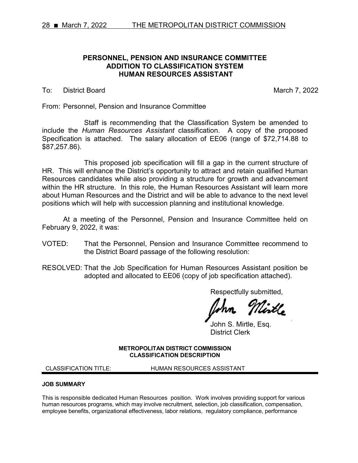### **PERSONNEL, PENSION AND INSURANCE COMMITTEE ADDITION TO CLASSIFICATION SYSTEM HUMAN RESOURCES ASSISTANT**

To: District Board March 7, 2022

From: Personnel, Pension and Insurance Committee

Staff is recommending that the Classification System be amended to include the *Human Resources Assistant* classification. A copy of the proposed Specification is attached. The salary allocation of EE06 (range of \$72,714.88 to \$87,257.86).

This proposed job specification will fill a gap in the current structure of HR. This will enhance the District's opportunity to attract and retain qualified Human Resources candidates while also providing a structure for growth and advancement within the HR structure. In this role, the Human Resources Assistant will learn more about Human Resources and the District and will be able to advance to the next level positions which will help with succession planning and institutional knowledge.

At a meeting of the Personnel, Pension and Insurance Committee held on February 9, 2022, it was:

- VOTED: That the Personnel, Pension and Insurance Committee recommend to the District Board passage of the following resolution:
- RESOLVED: That the Job Specification for Human Resources Assistant position be adopted and allocated to EE06 (copy of job specification attached).

Respectfully submitted,

Nirtle

John S. Mirtle, Esq. District Clerk

**METROPOLITAN DISTRICT COMMISSION CLASSIFICATION DESCRIPTION**

CLASSIFICATION TITLE: HUMAN RESOURCES ASSISTANT

#### **JOB SUMMARY**

This is responsible dedicated Human Resources position. Work involves providing support for various human resources programs, which may involve recruitment, selection, job classification, compensation, employee benefits, organizational effectiveness, labor relations, regulatory compliance, performance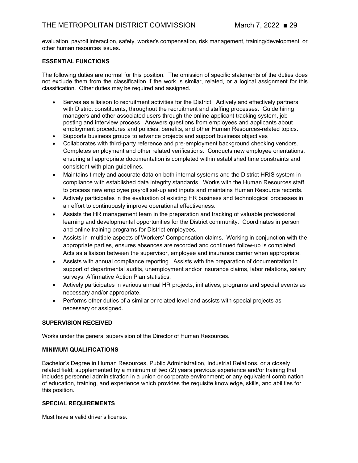evaluation, payroll interaction, safety, worker's compensation, risk management, training/development, or other human resources issues.

### **ESSENTIAL FUNCTIONS**

The following duties are normal for this position. The omission of specific statements of the duties does not exclude them from the classification if the work is similar, related, or a logical assignment for this classification. Other duties may be required and assigned.

- Serves as a liaison to recruitment activities for the District. Actively and effectively partners with District constituents, throughout the recruitment and staffing processes. Guide hiring managers and other associated users through the online applicant tracking system, job posting and interview process. Answers questions from employees and applicants about employment procedures and policies, benefits, and other Human Resources-related topics.
- Supports business groups to advance projects and support business objectives
- Collaborates with third-party reference and pre-employment background checking vendors. Completes employment and other related verifications. Conducts new employee orientations, ensuring all appropriate documentation is completed within established time constraints and consistent with plan guidelines.
- Maintains timely and accurate data on both internal systems and the District HRIS system in compliance with established data integrity standards. Works with the Human Resources staff to process new employee payroll set-up and inputs and maintains Human Resource records.
- Actively participates in the evaluation of existing HR business and technological processes in an effort to continuously improve operational effectiveness.
- Assists the HR management team in the preparation and tracking of valuable professional learning and developmental opportunities for the District community. Coordinates in person and online training programs for District employees.
- Assists in multiple aspects of Workers' Compensation claims. Working in conjunction with the appropriate parties, ensures absences are recorded and continued follow-up is completed. Acts as a liaison between the supervisor, employee and insurance carrier when appropriate.
- Assists with annual compliance reporting. Assists with the preparation of documentation in support of departmental audits, unemployment and/or insurance claims, labor relations, salary surveys, Affirmative Action Plan statistics.
- Actively participates in various annual HR projects, initiatives, programs and special events as necessary and/or appropriate.
- Performs other duties of a similar or related level and assists with special projects as necessary or assigned.

#### **SUPERVISION RECEIVED**

Works under the general supervision of the Director of Human Resources.

#### **MINIMUM QUALIFICATIONS**

Bachelor's Degree in Human Resources, Public Administration, Industrial Relations, or a closely related field; supplemented by a minimum of two (2) years previous experience and/or training that includes personnel administration in a union or corporate environment; or any equivalent combination of education, training, and experience which provides the requisite knowledge, skills, and abilities for this position.

### **SPECIAL REQUIREMENTS**

Must have a valid driver's license.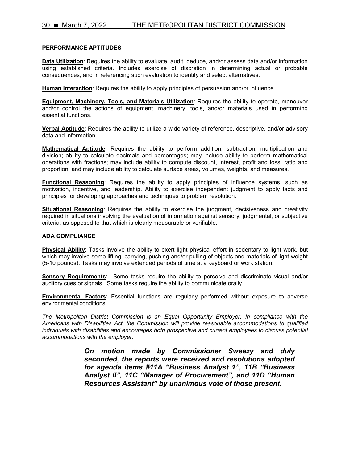#### **PERFORMANCE APTITUDES**

**Data Utilization**: Requires the ability to evaluate, audit, deduce, and/or assess data and/or information using established criteria. Includes exercise of discretion in determining actual or probable consequences, and in referencing such evaluation to identify and select alternatives.

**Human Interaction**: Requires the ability to apply principles of persuasion and/or influence.

**Equipment, Machinery, Tools, and Materials Utilization**: Requires the ability to operate, maneuver and/or control the actions of equipment, machinery, tools, and/or materials used in performing essential functions.

**Verbal Aptitude**: Requires the ability to utilize a wide variety of reference, descriptive, and/or advisory data and information.

**Mathematical Aptitude**: Requires the ability to perform addition, subtraction, multiplication and division; ability to calculate decimals and percentages; may include ability to perform mathematical operations with fractions; may include ability to compute discount, interest, profit and loss, ratio and proportion; and may include ability to calculate surface areas, volumes, weights, and measures.

**Functional Reasoning**: Requires the ability to apply principles of influence systems, such as motivation, incentive, and leadership. Ability to exercise independent judgment to apply facts and principles for developing approaches and techniques to problem resolution.

**Situational Reasoning**: Requires the ability to exercise the judgment, decisiveness and creativity required in situations involving the evaluation of information against sensory, judgmental, or subjective criteria, as opposed to that which is clearly measurable or verifiable.

#### **ADA COMPLIANCE**

**Physical Ability**: Tasks involve the ability to exert light physical effort in sedentary to light work, but which may involve some lifting, carrying, pushing and/or pulling of objects and materials of light weight (5-10 pounds). Tasks may involve extended periods of time at a keyboard or work station.

**Sensory Requirements**: Some tasks require the ability to perceive and discriminate visual and/or auditory cues or signals. Some tasks require the ability to communicate orally.

**Environmental Factors**: Essential functions are regularly performed without exposure to adverse environmental conditions.

*The Metropolitan District Commission is an Equal Opportunity Employer. In compliance with the Americans with Disabilities Act, the Commission will provide reasonable accommodations to qualified individuals with disabilities and encourages both prospective and current employees to discuss potential accommodations with the employer.*

> *On motion made by Commissioner Sweezy and duly seconded, the reports were received and resolutions adopted for agenda items #11A "Business Analyst 1", 11B "Business Analyst II", 11C "Manager of Procurement", and 11D "Human Resources Assistant" by unanimous vote of those present.*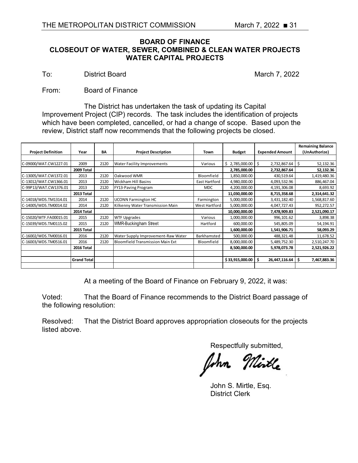# **BOARD OF FINANCE CLOSEOUT OF WATER, SEWER, COMBINED & CLEAN WATER PROJECTS WATER CAPITAL PROJECTS**

To: District Board March 7, 2022

From: Board of Finance

The District has undertaken the task of updating its Capital Improvement Project (CIP) records. The task includes the identification of projects which have been completed, cancelled, or had a change of scope. Based upon the review, District staff now recommends that the following projects be closed.

|                           |                    |      |                                    |               |                 |                        | <b>Remaining Balance</b> |
|---------------------------|--------------------|------|------------------------------------|---------------|-----------------|------------------------|--------------------------|
| <b>Project Definition</b> | Year               | BA   | <b>Project Description</b>         | Town          | <b>Budget</b>   | <b>Expended Amount</b> | (UnAuthorize)            |
|                           |                    |      |                                    |               |                 |                        |                          |
| C-09000/WAT.CW1227.01     | 2009               | 2120 | <b>Water Facility Improvements</b> | Various       | \$2,785,000.00  | \$<br>2,732,867.64     | Ś.<br>52,132.36          |
|                           | 2009 Total         |      |                                    |               | 2,785,000.00    | 2,732,867.64           | 52,132.36                |
| C-13005/WAT.CW1372.01     | 2013               | 2120 | Oakwood WMR                        | Bloomfield    | 1,850,000.00    | 430,519.64             | 1,419,480.36             |
| C-13012/WAT.CW1366.01     | 2013               | 2120 | <b>Wickham Hill Basins</b>         | East Hartford | 4,980,000.00    | 4,093,532.96           | 886,467.04               |
| C-99P13/WAT.CW1376.01     | 2013               | 2120 | FY13-Paving Program                | <b>MDC</b>    | 4,200,000.00    | 4,191,306.08           | 8,693.92                 |
|                           | 2013 Total         |      |                                    |               | 11,030,000.00   | 8,715,358.68           | 2,314,641.32             |
| C-14018/WDS.TM1314.01     | 2014               | 2120 | <b>UCONN Farmington HC</b>         | Farmington    | 5,000,000.00    | 3,431,182.40           | 1,568,817.60             |
| C-14005/WDS.TM0014.02     | 2014               | 2120 | Kilkenny Water Transmission Main   | West Hartford | 5,000,000.00    | 4,047,727.43           | 952,272.57               |
|                           | 2014 Total         |      |                                    |               | 10,000,000.00   | 7,478,909.83           | 2,521,090.17             |
| C-15020/WTF.FA00015.01    | 2015               | 2120 | <b>WTF Upgrades</b>                | Various       | 1,000,000.00    | 996, 101.62            | 3,898.38                 |
| C-15039/WDS.TM0115.02     | 2015               | 2120 | WMR-Buckingham Street              | Hartford      | 600,000.00      | 545,805.09             | 54,194.91                |
|                           | 2015 Total         |      |                                    |               | 1,600,000.00    | 1,541,906.71           | 58,093.29                |
| C-16002/WDS.TM0016.01     | 2016               | 2120 | Water Supply Improvement-Raw Water | Barkhamsted   | 500,000.00      | 488,321.48             | 11,678.52                |
| C-16003/WDS.TM0516.01     | 2016               | 2120 | Bloomfield Transmission Main Ext   | Bloomfield    | 8,000,000.00    | 5,489,752.30           | 2,510,247.70             |
|                           | 2016 Total         |      |                                    |               | 8,500,000.00    | 5,978,073.78           | 2,521,926.22             |
|                           |                    |      |                                    |               |                 |                        |                          |
|                           | <b>Grand Total</b> |      |                                    |               | \$33,915,000.00 | \$<br>26,447,116.64    | \$<br>7,467,883.36       |
|                           |                    |      |                                    |               |                 |                        |                          |

At a meeting of the Board of Finance on February 9, 2022, it was:

Voted: That the Board of Finance recommends to the District Board passage of the following resolution:

Resolved: That the District Board approves appropriation closeouts for the projects listed above.

Urtl**e** 

John S. Mirtle, Esq. District Clerk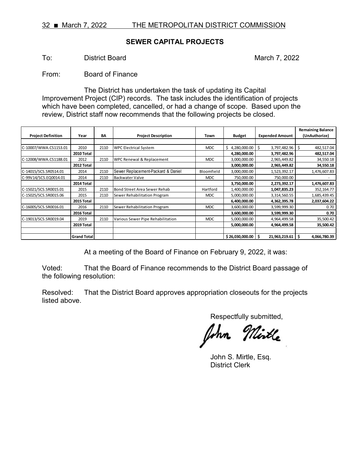# **SEWER CAPITAL PROJECTS**

To: District Board March 7, 2022

From: Board of Finance

The District has undertaken the task of updating its Capital Improvement Project (CIP) records. The task includes the identification of projects which have been completed, cancelled, or had a change of scope. Based upon the review, District staff now recommends that the following projects be closed.

|                           |                    |      |                                    |            |                    |                        | <b>Remaining Balance</b> |
|---------------------------|--------------------|------|------------------------------------|------------|--------------------|------------------------|--------------------------|
| <b>Project Definition</b> | Year               | BA   | <b>Project Description</b>         | Town       | <b>Budget</b>      | <b>Expended Amount</b> | (UnAuthorize)            |
|                           |                    |      |                                    |            |                    |                        |                          |
| C-10007/WWA.CS1153.01     | 2010               | 2110 | <b>WPC Electrical System</b>       | <b>MDC</b> | Ś.<br>4,280,000.00 | \$<br>3,797,482.96     | \$<br>482,517.04         |
|                           | 2010 Total         |      |                                    |            | 4,280,000.00       | 3,797,482.96           | 482,517.04               |
| C-12008/WWA.CS1188.01     | 2012               | 2110 | WPC Renewal & Replacement          | <b>MDC</b> | 3,000,000.00       | 2,965,449.82           | 34,550.18                |
|                           | 2012 Total         |      |                                    |            | 3,000,000.00       | 2,965,449.82           | 34,550.18                |
| C-14015/SCS.SR0514.01     | 2014               | 2110 | Sewer Replacement-Packard & Daniel | Bloomfield | 3,000,000.00       | 1,523,392.17           | 1,476,607.83             |
| C-99V14/SCS.EQ0014.01     | 2014               | 2110 | Backwater Valve                    | <b>MDC</b> | 750,000.00         | 750,000.00             |                          |
|                           | 2014 Total         |      |                                    |            | 3,750,000.00       | 2,273,392.17           | 1,476,607.83             |
| C-15021/SCS.SR0015.01     | 2015               | 2110 | Bond Street Area Sewer Rehab       | Hartford   | 1,400,000.00       | 1,047,835.23           | 352,164.77               |
| C-15025/SCS.SR0015.06     | 2015               | 2110 | Sewer Rehabilitation Program       | <b>MDC</b> | 5,000,000.00       | 3,314,560.55           | 1,685,439.45             |
|                           | 2015 Total         |      |                                    |            | 6,400,000.00       | 4,362,395.78           | 2,037,604.22             |
| C-16005/SCS.SR0016.01     | 2016               | 2110 | Sewer Rehabilitation Program       | <b>MDC</b> | 3,600,000.00       | 3,599,999.30           | 0.70                     |
|                           | 2016 Total         |      |                                    |            | 3,600,000.00       | 3,599,999.30           | 0.70                     |
| C-19013/SCS.SR0019.04     | 2019               | 2110 | Various Sewer Pipe Rehabilitation  | <b>MDC</b> | 5,000,000.00       | 4,964,499.58           | 35,500.42                |
|                           | 2019 Total         |      |                                    |            | 5,000,000.00       | 4,964,499.58           | 35,500.42                |
|                           |                    |      |                                    |            |                    |                        |                          |
|                           | <b>Grand Total</b> |      |                                    |            | \$26,030,000.00    | \$.<br>21,963,219.61   | 4,066,780.39<br>-S       |

At a meeting of the Board of Finance on February 9, 2022, it was:

Voted: That the Board of Finance recommends to the District Board passage of the following resolution:

Resolved: That the District Board approves appropriation closeouts for the projects listed above.

Mirtle John.

John S. Mirtle, Esq. District Clerk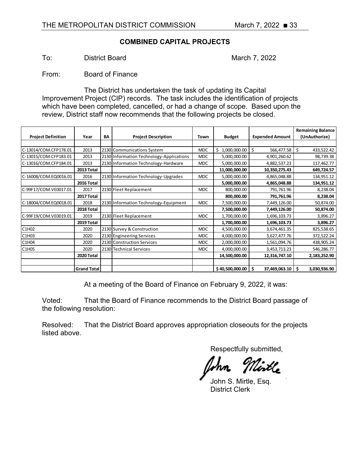# **COMBINED CAPITAL PROJECTS**

To: District Board March 7, 2022

From: Board of Finance

The District has undertaken the task of updating its Capital Improvement Project (CIP) records. The task includes the identification of projects which have been completed, cancelled, or had a change of scope. Based upon the review, District staff now recommends that the following projects be closed.

|                           |             |    |                                          |            |                   |                        | <b>Remaining Balance</b> |
|---------------------------|-------------|----|------------------------------------------|------------|-------------------|------------------------|--------------------------|
| <b>Project Definition</b> | Year        | BA | <b>Project Description</b>               | Town       | <b>Budget</b>     | <b>Expended Amount</b> | (UnAuthorize)            |
|                           |             |    |                                          |            |                   |                        |                          |
| C-13014/COM.CFP178.01     | 2013        |    | 2130 Communications System               | <b>MDC</b> | Ś<br>1,000,000.00 | \$<br>566,477.58       | \$<br>433,522.42         |
| C-13015/COM.CFP183.01     | 2013        |    | 2130 Information Technology-Applications | <b>MDC</b> | 5,000,000.00      | 4,901,260.62           | 98,739.38                |
| C-13016/COM.CFP184.01     | 2013        |    | 2130 Information Technology-Hardware     | <b>MDC</b> | 5,000,000.00      | 4,882,537.23           | 117,462.77               |
|                           | 2013 Total  |    |                                          |            | 11,000,000.00     | 10,350,275.43          | 649,724.57               |
| C-16008/COM.EQ0016.01     | 2016        |    | 2130 Information Technology-Upgrades     | <b>MDC</b> | 5,000,000.00      | 4,865,048.88           | 134,951.12               |
|                           | 2016 Total  |    |                                          |            | 5,000,000.00      | 4,865,048.88           | 134,951.12               |
| C-99F17/COM.VE0017.01     | 2017        |    | 2130 Fleet Replacement                   | <b>MDC</b> | 800,000.00        | 791,761.96             | 8,238.04                 |
|                           | 2017 Total  |    |                                          |            | 800,000.00        | 791,761.96             | 8,238.04                 |
| C-18004/COM.EQ0018.01     | 2018        |    | 2130 Information Technology-Equipment    | <b>MDC</b> | 7,500,000.00      | 7,449,126.00           | 50,874.00                |
|                           | 2018 Total  |    |                                          |            | 7,500,000.00      | 7,449,126.00           | 50,874.00                |
| C-99F19/COM.VE0019.01     | 2019        |    | 2130 Fleet Replacement                   | <b>MDC</b> | 1,700,000.00      | 1,696,103.73           | 3,896.27                 |
|                           | 2019 Total  |    |                                          |            | 1,700,000.00      | 1,696,103.73           | 3,896.27                 |
| C1H02                     | 2020        |    | 2130 Survey & Construction               | <b>MDC</b> | 4,500,000.00      | 3,674,461.35           | 825,538.65               |
| C1H03                     | 2020        |    | 2130 Engineering Services                | <b>MDC</b> | 4,000,000.00      | 3,627,477.76           | 372,522.24               |
| C1H04                     | 2020        |    | 2130 Construction Services               | <b>MDC</b> | 2,000,000.00      | 1,561,094.76           | 438,905.24               |
| C1H05                     | 2020        |    | 2130 Technical Services                  | <b>MDC</b> | 4,000,000.00      | 3,453,713.23           | 546,286.77               |
|                           | 2020 Total  |    |                                          |            | 14,500,000.00     | 12,316,747.10          | 2,183,252.90             |
|                           |             |    |                                          |            |                   |                        |                          |
|                           | Grand Total |    |                                          |            | \$40,500,000.00   | Ś.<br>37,469,063.10    | \$<br>3,030,936.90       |

At a meeting of the Board of Finance on February 9, 2022, it was:

Voted: That the Board of Finance recommends to the District Board passage of the following resolution:

Resolved: That the District Board approves appropriation closeouts for the projects listed above.

John S. Mirtle, Esq. District Clerk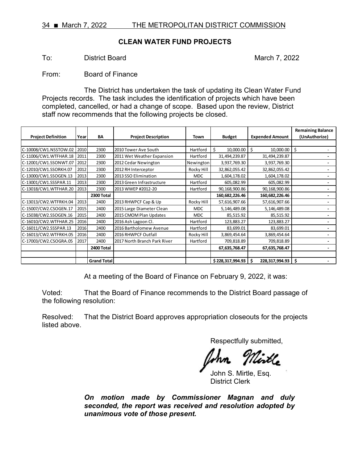# **CLEAN WATER FUND PROJECTS**

To: District Board March 7, 2022

From: Board of Finance

The District has undertaken the task of updating its Clean Water Fund Projects records. The task includes the identification of projects which have been completed, cancelled, or had a change of scope. Based upon the review, District staff now recommends that the following projects be closed.

|                           |      |                    |                              |            |                        |                        | <b>Remaining Balance</b> |
|---------------------------|------|--------------------|------------------------------|------------|------------------------|------------------------|--------------------------|
| <b>Project Definition</b> | Year | BA                 | <b>Project Description</b>   | Town       | <b>Budget</b>          | <b>Expended Amount</b> | (UnAuthorize)            |
|                           |      |                    |                              |            |                        |                        |                          |
| C-10008/CW1.NSSTOW.02     | 2010 | 2300               | 2010 Tower Ave South         | Hartford   | \$<br>$10,000.00$ \$   | 10,000.00              | \$                       |
| C-11006/CW1.WTFHAR.18     | 2011 | 2300               | 2011 Wet Weather Expansion   | Hartford   | 31,494,239.87          | 31,494,239.87          |                          |
| C-12001/CW1.SSONWT.07     | 2012 | 2300               | 2012 Cedar Newington         | Newington  | 3,937,769.30           | 3,937,769.30           |                          |
| C-12010/CW1.SSORKH.07     | 2012 | 2300               | 2012 RH Interceptor          | Rocky Hill | 32,862,055.42          | 32,862,055.42          |                          |
| C-13000/CW1.SSOGEN.13     | 2013 | 2300               | 2013 SSO Elimination         | <b>MDC</b> | 1,604,178.02           | 1,604,178.02           |                          |
| C-13001/CW1.SSSPAR.11     | 2013 | 2300               | 2013 Green Infrastructure    | Hartford   | 605,082.99             | 605,082.99             |                          |
| C-13018/CW1.WTFHAR.20     | 2013 | 2300               | 2013 WWEP #2012-20           | Hartford   | 90,168,900.86          | 90,168,900.86          |                          |
|                           |      | 2300 Total         |                              |            | 160,682,226.46         | 160,682,226.46         |                          |
| C-13013/CW2.WTFRKH.04     | 2013 | 2400               | 2013 RHWPCF Cap & Up         | Rocky Hill | 57,616,907.66          | 57,616,907.66          |                          |
| C-15007/CW2.CSOGEN.17     | 2015 | 2400               | 2015 Large Diameter Clean    | <b>MDC</b> | 5,146,489.08           | 5,146,489.08           |                          |
| C-15038/CW2.SSOGEN.16     | 2015 | 2400               | 2015 CMOM Plan Updates       | <b>MDC</b> | 85,515.92              | 85,515.92              |                          |
| C-16010/CW2.WTFHAR.25     | 2016 | 2400               | 2016 Ash Lagoon Cl.          | Hartford   | 123,883.27             | 123,883.27             |                          |
| C-16011/CW2.SSSPAR.13     | 2016 | 2400               | 2016 Bartholomew Avenue      | Hartford   | 83,699.01              | 83,699.01              |                          |
| C-16013/CW2.WTFRKH.05     | 2016 | 2400               | 2016 RHWPCF Outfall          | Rocky Hill | 3,869,454.64           | 3,869,454.64           |                          |
| C-17003/CW2.CSOGRA.05     | 2017 | 2400               | 2017 North Branch Park River | Hartford   | 709,818.89             | 709,818.89             |                          |
|                           |      | 2400 Total         |                              |            | 67,635,768.47          | 67,635,768.47          |                          |
|                           |      |                    |                              |            |                        |                        |                          |
|                           |      | <b>Grand Total</b> |                              |            | $$228,317,994.93$ \ \$ | 228,317,994.93         | Ś                        |

At a meeting of the Board of Finance on February 9, 2022, it was:

Voted: That the Board of Finance recommends to the District Board passage of the following resolution:

Resolved: That the District Board approves appropriation closeouts for the projects listed above.

Respectfully submitted,

John S. Mirtle, Esq. District Clerk

*On motion made by Commissioner Magnan and duly seconded, the report was received and resolution adopted by unanimous vote of those present.*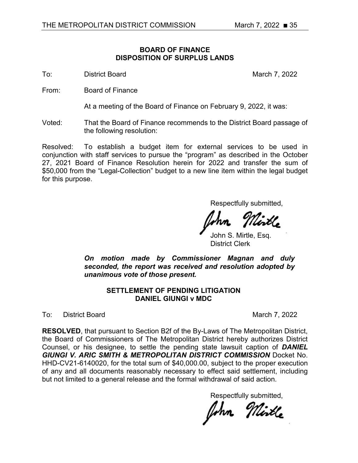# **BOARD OF FINANCE DISPOSITION OF SURPLUS LANDS**

To: District Board March 7, 2022

From: Board of Finance

At a meeting of the Board of Finance on February 9, 2022, it was:

Voted: That the Board of Finance recommends to the District Board passage of the following resolution:

Resolved: To establish a budget item for external services to be used in conjunction with staff services to pursue the "program" as described in the October 27, 2021 Board of Finance Resolution herein for 2022 and transfer the sum of \$50,000 from the "Legal-Collection" budget to a new line item within the legal budget for this purpose.

Respectfully submitted,

John S. Mirtle, Esq. District Clerk

*On motion made by Commissioner Magnan and duly seconded, the report was received and resolution adopted by unanimous vote of those present.*

# **SETTLEMENT OF PENDING LITIGATION DANIEL GIUNGI v MDC**

To: District Board March 7, 2022

**RESOLVED**, that pursuant to Section B2f of the By-Laws of The Metropolitan District, the Board of Commissioners of The Metropolitan District hereby authorizes District Counsel, or his designee, to settle the pending state lawsuit caption of *DANIEL GIUNGI V. ARIC SMITH & METROPOLITAN DISTRICT COMMISSION* Docket No. HHD-CV21-6140020, for the total sum of \$40,000.00, subject to the proper execution of any and all documents reasonably necessary to effect said settlement, including but not limited to a general release and the formal withdrawal of said action.

John Mirtle